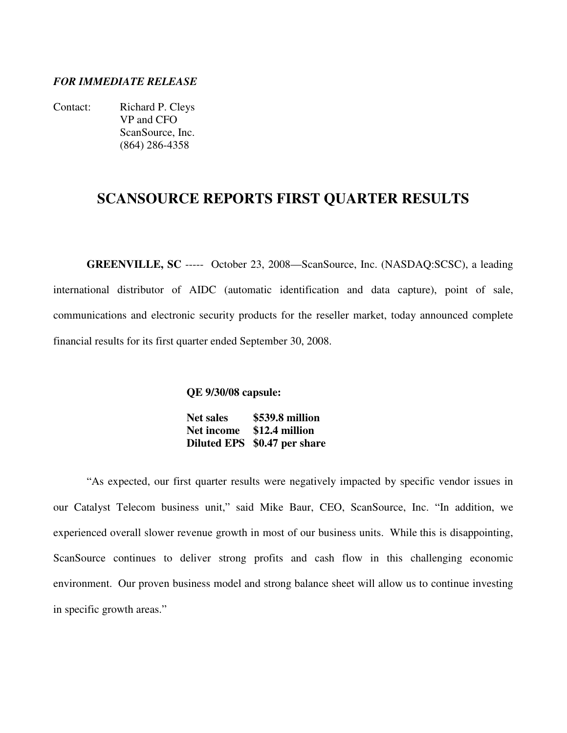### *FOR IMMEDIATE RELEASE*

Contact: Richard P. Cleys VP and CFO ScanSource, Inc. (864) 286-4358

## **SCANSOURCE REPORTS FIRST QUARTER RESULTS**

**GREENVILLE, SC** ----- October 23, 2008—ScanSource, Inc. (NASDAQ:SCSC), a leading international distributor of AIDC (automatic identification and data capture), point of sale, communications and electronic security products for the reseller market, today announced complete financial results for its first quarter ended September 30, 2008.

**QE 9/30/08 capsule:** 

 **Net sales \$539.8 million Net income \$12.4 million Diluted EPS \$0.47 per share**

"As expected, our first quarter results were negatively impacted by specific vendor issues in our Catalyst Telecom business unit," said Mike Baur, CEO, ScanSource, Inc. "In addition, we experienced overall slower revenue growth in most of our business units. While this is disappointing, ScanSource continues to deliver strong profits and cash flow in this challenging economic environment. Our proven business model and strong balance sheet will allow us to continue investing in specific growth areas."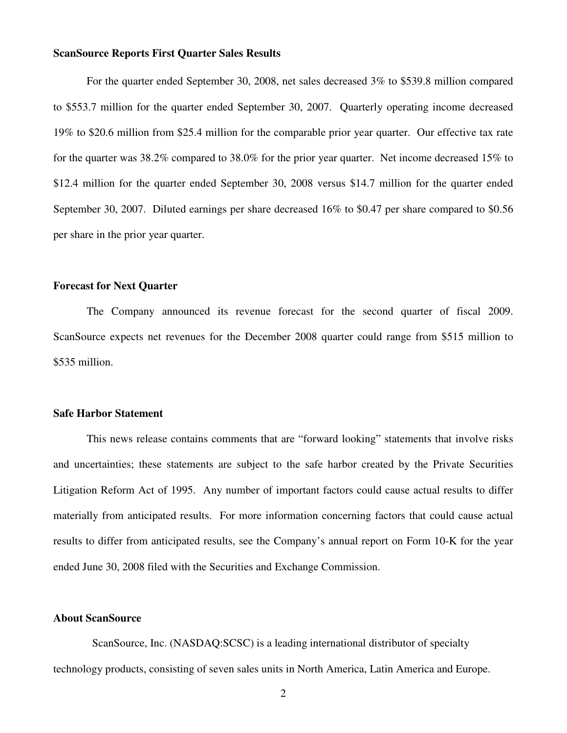#### **ScanSource Reports First Quarter Sales Results**

For the quarter ended September 30, 2008, net sales decreased 3% to \$539.8 million compared to \$553.7 million for the quarter ended September 30, 2007. Quarterly operating income decreased 19% to \$20.6 million from \$25.4 million for the comparable prior year quarter. Our effective tax rate for the quarter was 38.2% compared to 38.0% for the prior year quarter. Net income decreased 15% to \$12.4 million for the quarter ended September 30, 2008 versus \$14.7 million for the quarter ended September 30, 2007. Diluted earnings per share decreased 16% to \$0.47 per share compared to \$0.56 per share in the prior year quarter.

#### **Forecast for Next Quarter**

 The Company announced its revenue forecast for the second quarter of fiscal 2009. ScanSource expects net revenues for the December 2008 quarter could range from \$515 million to \$535 million.

#### **Safe Harbor Statement**

 This news release contains comments that are "forward looking" statements that involve risks and uncertainties; these statements are subject to the safe harbor created by the Private Securities Litigation Reform Act of 1995. Any number of important factors could cause actual results to differ materially from anticipated results. For more information concerning factors that could cause actual results to differ from anticipated results, see the Company's annual report on Form 10-K for the year ended June 30, 2008 filed with the Securities and Exchange Commission.

#### **About ScanSource**

 ScanSource, Inc. (NASDAQ:SCSC) is a leading international distributor of specialty technology products, consisting of seven sales units in North America, Latin America and Europe.

2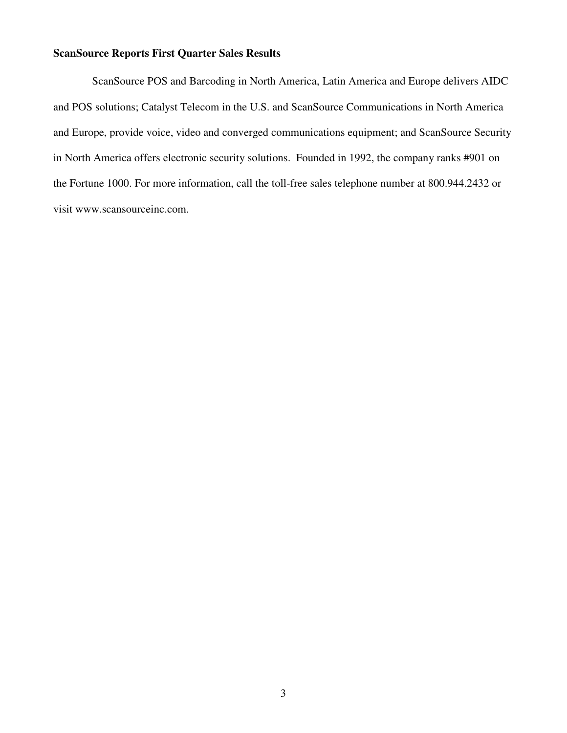## **ScanSource Reports First Quarter Sales Results**

 ScanSource POS and Barcoding in North America, Latin America and Europe delivers AIDC and POS solutions; Catalyst Telecom in the U.S. and ScanSource Communications in North America and Europe, provide voice, video and converged communications equipment; and ScanSource Security in North America offers electronic security solutions. Founded in 1992, the company ranks #901 on the Fortune 1000. For more information, call the toll-free sales telephone number at 800.944.2432 or visit www.scansourceinc.com.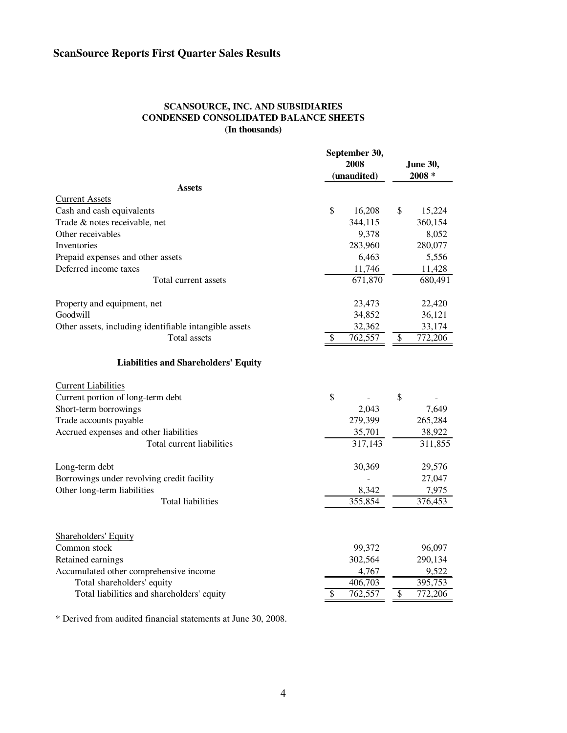#### **SCANSOURCE, INC. AND SUBSIDIARIES CONDENSED CONSOLIDATED BALANCE SHEETS (In thousands)**

|                                                        |                          | September 30, |    |                 |  |
|--------------------------------------------------------|--------------------------|---------------|----|-----------------|--|
|                                                        |                          | 2008          |    | <b>June 30,</b> |  |
|                                                        |                          | (unaudited)   |    | $2008 *$        |  |
| <b>Assets</b>                                          |                          |               |    |                 |  |
| <b>Current Assets</b>                                  |                          |               |    |                 |  |
| Cash and cash equivalents                              | \$                       | 16,208        | \$ | 15,224          |  |
| Trade & notes receivable, net                          |                          | 344,115       |    | 360,154         |  |
| Other receivables                                      |                          | 9,378         |    | 8,052           |  |
| Inventories                                            |                          | 283,960       |    | 280,077         |  |
| Prepaid expenses and other assets                      |                          | 6,463         |    | 5,556           |  |
| Deferred income taxes                                  |                          | 11,746        |    | 11,428          |  |
| Total current assets                                   |                          | 671,870       |    | 680,491         |  |
| Property and equipment, net                            |                          | 23,473        |    | 22,420          |  |
| Goodwill                                               |                          | 34,852        |    | 36,121          |  |
| Other assets, including identifiable intangible assets |                          | 32,362        |    | 33,174          |  |
| Total assets                                           | $\overline{\mathcal{S}}$ | 762,557       | \$ | 772,206         |  |
| <b>Liabilities and Shareholders' Equity</b>            |                          |               |    |                 |  |
| <b>Current Liabilities</b>                             |                          |               |    |                 |  |
| Current portion of long-term debt                      | \$                       |               | \$ |                 |  |
| Short-term borrowings                                  |                          | 2,043         |    | 7,649           |  |
| Trade accounts payable                                 |                          | 279,399       |    | 265,284         |  |
| Accrued expenses and other liabilities                 |                          | 35,701        |    | 38,922          |  |
| Total current liabilities                              |                          | 317,143       |    | 311,855         |  |
| Long-term debt                                         |                          | 30,369        |    | 29,576          |  |
| Borrowings under revolving credit facility             |                          |               |    | 27,047          |  |
| Other long-term liabilities                            |                          | 8,342         |    | 7,975           |  |
| <b>Total liabilities</b>                               |                          | 355,854       |    | 376,453         |  |
|                                                        |                          |               |    |                 |  |
| <b>Shareholders' Equity</b><br>Common stock            |                          | 99,372        |    | 96,097          |  |
| Retained earnings                                      |                          | 302,564       |    | 290,134         |  |
| Accumulated other comprehensive income                 |                          | 4,767         |    | 9,522           |  |
| Total shareholders' equity                             |                          | 406,703       |    | 395,753         |  |
| Total liabilities and shareholders' equity             | \$                       | 762,557       | \$ | 772,206         |  |
|                                                        |                          |               |    |                 |  |

\* Derived from audited financial statements at June 30, 2008.